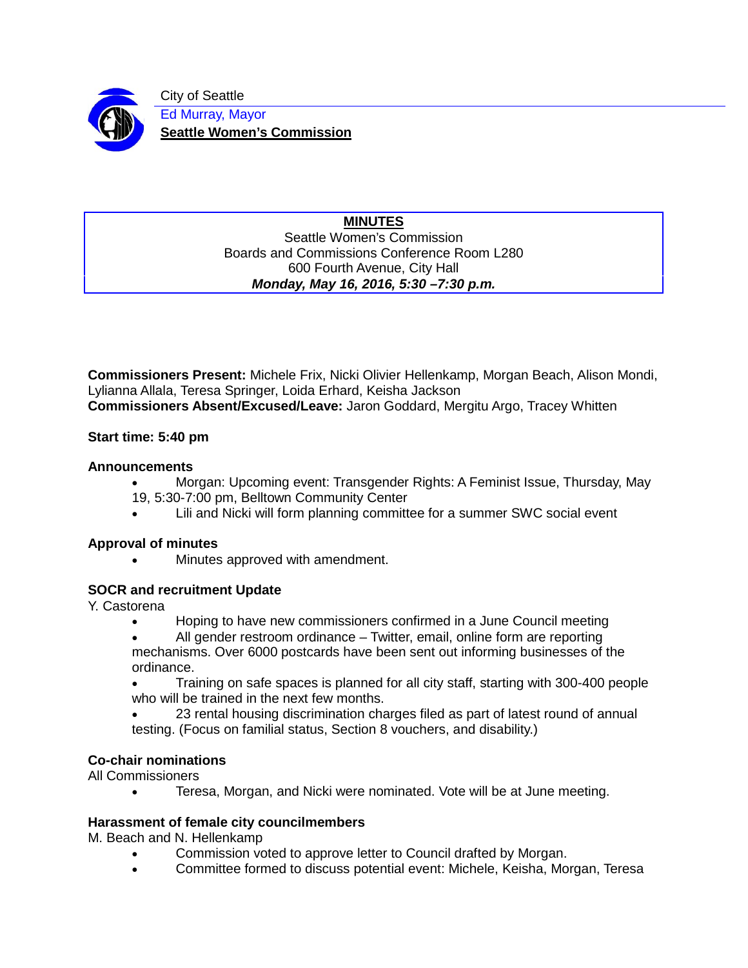

City of Seattle Ed Murray, Mayor **Seattle Women's Commission**

#### **MINUTES** Seattle Women's Commission Boards and Commissions Conference Room L280 600 Fourth Avenue, City Hall *Monday, May 16, 2016, 5:30 –7:30 p.m.*

**Commissioners Present:** Michele Frix, Nicki Olivier Hellenkamp, Morgan Beach, Alison Mondi, Lylianna Allala, Teresa Springer, Loida Erhard, Keisha Jackson **Commissioners Absent/Excused/Leave:** Jaron Goddard, Mergitu Argo, Tracey Whitten

### **Start time: 5:40 pm**

### **Announcements**

- Morgan: Upcoming event: Transgender Rights: A Feminist Issue, Thursday, May 19, 5:30-7:00 pm, Belltown Community Center
- Lili and Nicki will form planning committee for a summer SWC social event

### **Approval of minutes**

• Minutes approved with amendment.

# **SOCR and recruitment Update**

Y. Castorena

- Hoping to have new commissioners confirmed in a June Council meeting
- All gender restroom ordinance Twitter, email, online form are reporting mechanisms. Over 6000 postcards have been sent out informing businesses of the ordinance.
- Training on safe spaces is planned for all city staff, starting with 300-400 people who will be trained in the next few months.
- 23 rental housing discrimination charges filed as part of latest round of annual testing. (Focus on familial status, Section 8 vouchers, and disability.)

# **Co-chair nominations**

All Commissioners

• Teresa, Morgan, and Nicki were nominated. Vote will be at June meeting.

### **Harassment of female city councilmembers**

M. Beach and N. Hellenkamp

- Commission voted to approve letter to Council drafted by Morgan.
- Committee formed to discuss potential event: Michele, Keisha, Morgan, Teresa